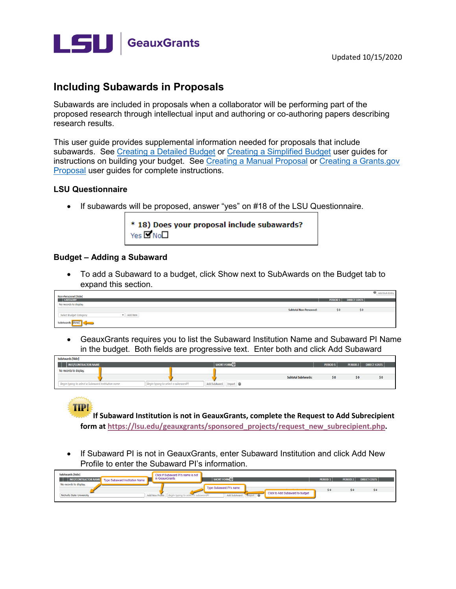

# **Including Subawards in Proposals**

Subawards are included in proposals when a collaborator will be performing part of the proposed research through intellectual input and authoring or co-authoring papers describing research results.

This user quide provides supplemental information needed for proposals that include subawards. See Creating a Detailed Budget or Creating a Simplified Budget user guides for instructions on building your budget. See Creating a Manual Proposal or Creating a Grants.gov Proposal user guides for complete instructions.

#### **LSU Questionnaire**

• If subawards will be proposed, answer "yes" on #18 of the LSU Questionnaire.

| * 18) Does your proposal include subawards? |
|---------------------------------------------|
| Yes $\square$ No $\square$                  |

#### **Budget - Adding a Subaward**

• To add a Subaward to a budget, click Show next to SubAwards on the Budget tab to expand this section.

| <b>Non-Personnel [hide]</b>               |          |                             | Add Bulk Entry |
|-------------------------------------------|----------|-----------------------------|----------------|
| <b>CATEGORY</b>                           | PERIOD 1 | <b>DIRECT COSTS</b>         |                |
| No records to display.                    |          |                             |                |
| <b>Subtotal Non-Personnel:</b>            | \$0      | $\boldsymbol{\mathsf{s}}$ 0 |                |
| Add Item<br><b>Select Budget Category</b> |          |                             |                |
| SubAwards <b>Show</b><br>$\sim$           |          |                             |                |

• GeauxGrants requires you to list the Subaward Institution Name and Subaward PI Name in the budget. Both fields are progressive text. Enter both and click Add Subaward

| SubAwards [hide]                                                |                                     |                           |                            |                      |                     |
|-----------------------------------------------------------------|-------------------------------------|---------------------------|----------------------------|----------------------|---------------------|
| INST/CONTRACTOR NAME                                            |                                     | SHORT FORM <sup>[2]</sup> |                            | PERIOD 2<br>PERIOD 1 | <b>DIRECT COSTS</b> |
| No records to display.                                          |                                     |                           |                            |                      |                     |
|                                                                 |                                     |                           | <b>Subtotal SubAwards:</b> |                      | $\mathsf{S} \, 0$   |
| <sup>1</sup> Begin typing to select a Subaward Institution name | Begin typing to select a subawardPI | Add SubAward Import       |                            |                      |                     |

If Subaward Institution is not in GeauxGrants, complete the Request to Add Subrecipient form at https://lsu.edu/geauxgrants/sponsored projects/request new subrecipient.php.

If Subaward PI is not in GeauxGrants, enter Subaward Institution and click Add New  $\bullet$ Profile to enter the Subaward PI's information.

| <b>SubAwards [hide]</b><br>INST/CONTRACTOR NAME<br><b>Type Subaward Institution Name</b> | Click if Subaward PI's name is not<br>in GeauxGrants  | <b>SHORT FORM</b>       |                                 | PERIOD 1 | PERIOD <sub>2</sub> | <b>DIRECT COSTS</b>                              |  |
|------------------------------------------------------------------------------------------|-------------------------------------------------------|-------------------------|---------------------------------|----------|---------------------|--------------------------------------------------|--|
| No records to display.                                                                   |                                                       | Type Subaward Pl's name |                                 | S0       | S 0                 | $\boldsymbol{\mathsf{s}}\boldsymbol{\mathsf{0}}$ |  |
| Nicholls State University                                                                | Add New Profile   Begin typing to select a subawardPI | Add SubAward mport      | Click to Add Subaward to budget |          |                     |                                                  |  |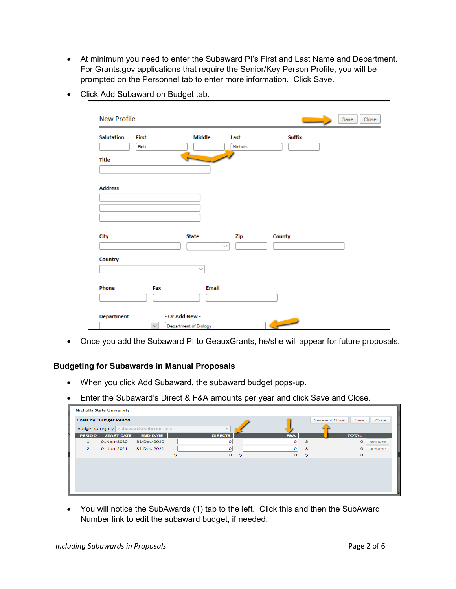• At minimum you need to enter the Subaward PI's First and Last Name and Department. For Grants.gov applications that require the Senior/Key Person Profile, you will be prompted on the Personnel tab to enter more information. Click Save.

| <b>Salutation</b> | <b>First</b> | <b>Middle</b> | Last         | <b>Suffix</b> |  |
|-------------------|--------------|---------------|--------------|---------------|--|
|                   | Bob          |               | Nichols      |               |  |
| <b>Title</b>      |              |               |              |               |  |
|                   |              |               |              |               |  |
|                   |              |               |              |               |  |
| <b>Address</b>    |              |               |              |               |  |
|                   |              |               |              |               |  |
|                   |              |               |              |               |  |
|                   |              |               |              |               |  |
|                   |              |               |              |               |  |
|                   |              |               |              |               |  |
|                   |              |               |              |               |  |
| City              |              | <b>State</b>  | Zip          | County        |  |
|                   |              |               | $\checkmark$ |               |  |
| Country           |              |               |              |               |  |
|                   |              | $\checkmark$  |              |               |  |
|                   |              |               |              |               |  |
|                   |              |               |              |               |  |
| Phone             | Fax          | <b>Email</b>  |              |               |  |

• Click Add Subaward on Budget tab.

• Once you add the Subaward PI to GeauxGrants, he/she will appear for future proposals.

## **Budgeting for Subawards in Manual Proposals**

- When you click Add Subaward, the subaward budget pops-up.
- Enter the Subaward's Direct & F&A amounts per year and click Save and Close.

|                | <b>Nicholls State University</b> |                                               |                |    |                 |                        |        |  |  |  |  |  |  |
|----------------|----------------------------------|-----------------------------------------------|----------------|----|-----------------|------------------------|--------|--|--|--|--|--|--|
|                | <b>Costs by "Budget Period"</b>  |                                               |                |    |                 | Save and Close<br>Save | Close  |  |  |  |  |  |  |
|                |                                  | <b>Budget Category</b> Subawards/Subcontracts |                |    |                 |                        |        |  |  |  |  |  |  |
| <b>PERIOD</b>  | <b>START DATE</b>                | <b>END DATE</b>                               | <b>DIRECTS</b> |    | F&A             | <b>TOTAL</b>           |        |  |  |  |  |  |  |
| 1              | 01-Jan-2020                      | 31-Dec-2020                                   | o              |    | Ŝ<br>$\circ$    | о                      | Remove |  |  |  |  |  |  |
| $\overline{2}$ | 01-Jan-2021                      | 31-Dec-2021                                   | о              |    | $\Omega$<br>\$. | O                      | Remove |  |  |  |  |  |  |
|                |                                  |                                               | $\circ$        | \$ | $\circ$<br>s.   | $\Omega$               |        |  |  |  |  |  |  |
|                |                                  |                                               |                |    |                 |                        |        |  |  |  |  |  |  |
|                |                                  |                                               |                |    |                 |                        |        |  |  |  |  |  |  |
|                |                                  |                                               |                |    |                 |                        |        |  |  |  |  |  |  |
|                |                                  |                                               |                |    |                 |                        |        |  |  |  |  |  |  |
|                |                                  |                                               |                |    |                 |                        |        |  |  |  |  |  |  |
|                |                                  |                                               |                |    |                 |                        |        |  |  |  |  |  |  |

• You will notice the SubAwards (1) tab to the left. Click this and then the SubAward Number link to edit the subaward budget, if needed.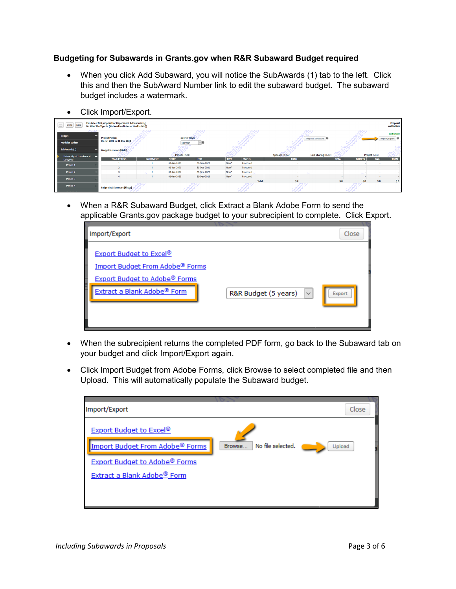# Budgeting for Subawards in Grants.gov when R&R Subaward Budget required

- When you click Add Subaward, you will notice the SubAwards (1) tab to the left. Click this and then the SubAward Number link to edit the subaward budget. The subaward budget includes a watermark.
- Click Import/Export.

| Ξ.<br>Save<br>Done                            | This is test NIH proposal for Department Admin training.<br>Proposal<br>Dr. Mike The Tiger Jr. (National Institutes of Health (NIH))<br>AM200163 |                  |                                       |             |             |               |                                |                                            |                                  |     |                                   |  |  |
|-----------------------------------------------|--------------------------------------------------------------------------------------------------------------------------------------------------|------------------|---------------------------------------|-------------|-------------|---------------|--------------------------------|--------------------------------------------|----------------------------------|-----|-----------------------------------|--|--|
| ブロッ<br><b>Budget</b><br><b>Modular Budget</b> | <b>Project Period:</b><br>01-Jan-2020 to 31-Dec-2023                                                                                             |                  | <b>Source View:</b><br>Sponsor        | $\sqrt{2}$  |             |               |                                | Proposal Structure                         |                                  |     | <b>Edit Mode</b><br>Import/Export |  |  |
| SubAwards (1)                                 | <b>Budget Summary [Hide]</b>                                                                                                                     |                  |                                       |             |             |               |                                |                                            |                                  |     |                                   |  |  |
| University of Louisiana at<br>–<br>Lafayette  | <b>YEAR/PERIOD</b>                                                                                                                               | <b>INCREMENT</b> | <b>Periods</b> [hide]<br><b>START</b> | <b>END</b>  | <b>TYPE</b> | <b>STATUS</b> | Sponsor [show]<br><b>TOTAL</b> | <b>Cost Sharing [show]</b><br><b>TOTAL</b> | Project [hide]<br><b>DIRECTS</b> | F&A | <b>TOTAL</b>                      |  |  |
| Period 1                                      |                                                                                                                                                  |                  | 01-Jan-2020                           | 31-Dec-2020 | New*        | Proposed      |                                |                                            |                                  |     |                                   |  |  |
|                                               |                                                                                                                                                  |                  | 01-Jan-2021                           | 31-Dec-2021 | New*        | Proposed      |                                |                                            |                                  |     |                                   |  |  |
| Period 2                                      |                                                                                                                                                  |                  | 01-Jan-2022                           | 31-Dec-2022 | New*        | Proposed      |                                |                                            |                                  |     |                                   |  |  |
| Period 3                                      |                                                                                                                                                  |                  | 01-Jan-2023                           | 31-Dec-2023 | New*        | Proposed      |                                |                                            | . .                              |     |                                   |  |  |
|                                               |                                                                                                                                                  |                  |                                       |             |             | Total:        | \$0                            | \$0                                        | \$0                              | \$0 | \$0                               |  |  |
| Period 4<br><b>Contractive</b>                | <b>Subproject Summary [Show]</b>                                                                                                                 |                  |                                       |             |             |               |                                |                                            |                                  |     |                                   |  |  |

• When a R&R Subaward Budget, click Extract a Blank Adobe Form to send the applicable Grants.gov package budget to your subrecipient to complete. Click Export.

| Import/Export                                                                                                                                        |                                      | Close  |
|------------------------------------------------------------------------------------------------------------------------------------------------------|--------------------------------------|--------|
| <b>Export Budget to Excel®</b><br>Import Budget From Adobe <sup>®</sup> Forms<br><b>Export Budget to Adobe® Forms</b><br>Extract a Blank Adobe® Form | $\checkmark$<br>R&R Budget (5 years) | Export |

- When the subrecipient returns the completed PDF form, go back to the Subaward tab on your budget and click Import/Export again.
- Click Import Budget from Adobe Forms, click Browse to select completed file and then Upload. This will automatically populate the Subaward budget.

| Import/Export                                                                   |                             | Close  |
|---------------------------------------------------------------------------------|-----------------------------|--------|
| <b>Export Budget to Excel®</b><br>Import Budget From Adobe <sup>®</sup> Forms   | No file selected.<br>Browse | Upload |
| <b>Export Budget to Adobe® Forms</b><br>Extract a Blank Adobe <sup>®</sup> Form |                             |        |
|                                                                                 |                             |        |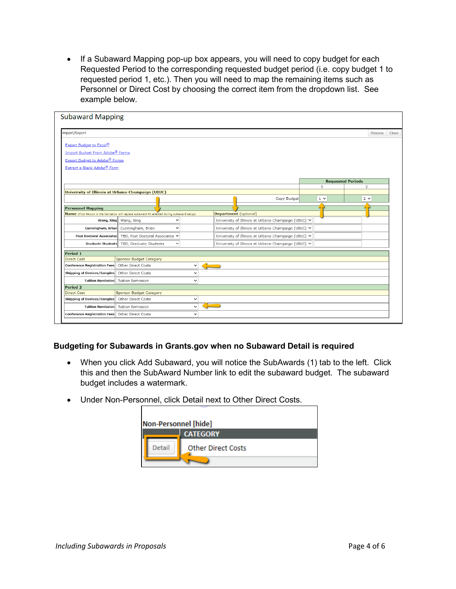Requested Period to the corresponding requested budget period (i.e. copy budget 1 to requested period 1, etc.). Then you will need to map the remaining items such as • If a Subaward Mapping pop-up box appears, you will need to copy budget for each Personnel or Direct Cost by choosing the correct item from the dropdown list. See example below.

| <b>Subaward Mapping</b>                           |                                                                                               |                 |                              |                                                     |              |                          |         |       |
|---------------------------------------------------|-----------------------------------------------------------------------------------------------|-----------------|------------------------------|-----------------------------------------------------|--------------|--------------------------|---------|-------|
| Import/Export                                     |                                                                                               |                 |                              |                                                     |              |                          | Process | Close |
| <b>Export Budget to Excel®</b>                    |                                                                                               |                 |                              |                                                     |              |                          |         |       |
| Import Budget From Adobe <sup>®</sup> Forms       |                                                                                               |                 |                              |                                                     |              |                          |         |       |
| <b>Export Budget to Adobe<sup>®</sup> Forms</b>   |                                                                                               |                 |                              |                                                     |              |                          |         |       |
| Extract a Blank Adobe® Form                       |                                                                                               |                 |                              |                                                     |              |                          |         |       |
|                                                   |                                                                                               |                 |                              |                                                     |              | <b>Requested Periods</b> |         |       |
|                                                   |                                                                                               |                 |                              |                                                     | $\mathbf{1}$ | 2                        |         |       |
| University of Illinois at Urbana-Champaign (UIUC) |                                                                                               |                 |                              | Copy Budget                                         | $1 \vee$     | $2 \times$               |         |       |
|                                                   |                                                                                               |                 |                              |                                                     |              |                          |         |       |
| <b>Personnel Mapping</b>                          |                                                                                               |                 |                              |                                                     |              |                          |         |       |
|                                                   | Name (First Person in the list below will replace subaward PI selected during subaward setup) |                 | <b>Department</b> (optional) |                                                     |              |                          |         |       |
|                                                   | Wang, Xing Wang, Xing<br>$\checkmark$                                                         |                 |                              | University of Illinois at Urbana-Champaign (UIUC) V |              |                          |         |       |
|                                                   | Cunningham, Brian Cunningham, Brian<br>$\checkmark$                                           |                 |                              | University of Illinois at Urbana-Champaign (UIUC) V |              |                          |         |       |
| <b>Post Doctoral Associates</b>                   | TBD, Post Doctoral Associates V                                                               |                 |                              | University of Illinois at Urbana-Champaign (UIUC) V |              |                          |         |       |
|                                                   | Graduate Students TBD, Graduate Students<br>$\check{ }$                                       |                 |                              | University of Illinois at Urbana-Champaign (UIUC) V |              |                          |         |       |
| Period 1                                          |                                                                                               |                 |                              |                                                     |              |                          |         |       |
| <b>Direct Cost</b>                                | Sponsor Budget Category                                                                       |                 |                              |                                                     |              |                          |         |       |
| Conference Registration Fees                      | Other Direct Costs<br>$\check{~}$                                                             | <b>Contract</b> |                              |                                                     |              |                          |         |       |
| Shipping of Devices/Samples                       | Other Direct Costs<br>$\check{ }$                                                             |                 |                              |                                                     |              |                          |         |       |
| <b>Tuition Remission</b>                          | <b>Tuition Remission</b><br>$\checkmark$                                                      |                 |                              |                                                     |              |                          |         |       |
| Period 2                                          |                                                                                               |                 |                              |                                                     |              |                          |         |       |
| Direct Cost                                       | Sponsor Budget Category                                                                       |                 |                              |                                                     |              |                          |         |       |
| Shipping of Devices/Samples                       | Other Direct Costs<br>$\checkmark$                                                            |                 |                              |                                                     |              |                          |         |       |
| <b>Tuition Remission</b>                          | <b>Tuition Remission</b><br>$\checkmark$                                                      |                 |                              |                                                     |              |                          |         |       |
| Conference Registration Fees                      | Other Direct Costs<br>$\check{ }$                                                             |                 |                              |                                                     |              |                          |         |       |
|                                                   |                                                                                               |                 |                              |                                                     |              |                          |         |       |

## **Budgeting for Subawards in [Grants.gov](https://Grants.gov) when no Subaward Detail is required**

- • When you click Add Subaward, you will notice the SubAwards (1) tab to the left. Click this and then the SubAward Number link to edit the subaward budget. The subaward budget includes a watermark.
- Under Non-Personnel, click Detail next to Other Direct Costs.

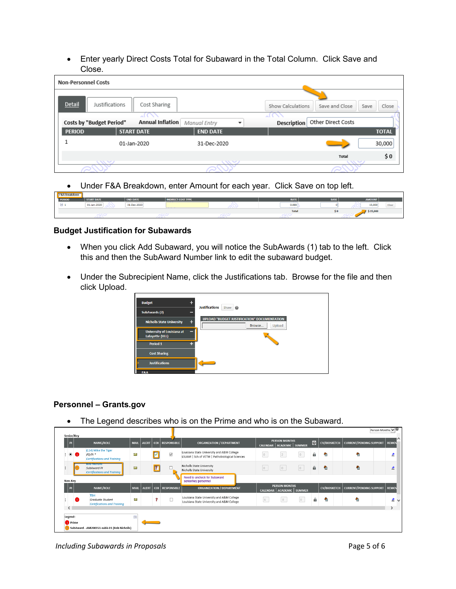• Enter yearly Direct Costs Total for Subaward in the Total Column. Click Save and Close.

| <b>Non-Personnel Costs</b> |                                                     |                 |                                                      |
|----------------------------|-----------------------------------------------------|-----------------|------------------------------------------------------|
| Detail                     | Justifications<br>Cost Sharing                      |                 | Show Calculations<br>Close<br>Save and Close<br>Save |
|                            | Annual Inflation<br><b>Costs by "Budget Period"</b> |                 | Other Direct Costs<br><b>Description</b>             |
| <b>PERIOD</b>              | <b>START DATE</b>                                   | <b>END DATE</b> | <b>TOTAL</b>                                         |
|                            | 01-Jan-2020                                         | 31-Dec-2020     | 30,000                                               |
|                            |                                                     |                 | \$0<br>Total                                         |
|                            | $\sim$                                              | $\sqrt{2}$      | $\sim$                                               |

• Under F&A Breakdown, enter Amount for each year. Click Save on top left.

| <b>F&amp;A Breakdown</b> |                   |                                                       |                         |              |             |               |  |
|--------------------------|-------------------|-------------------------------------------------------|-------------------------|--------------|-------------|---------------|--|
| <b>PERIOD</b>            | <b>START DATE</b> | <b>END DATE</b>                                       | <b>DIRECT COST TYPE</b> | <b>RATE</b>  | <b>BASE</b> | <b>AMOUNT</b> |  |
| $\boxdot$ 1              | 01-Jan-2020       | the control of the control of the con-<br>31-Dec-2020 | ハマ<br>___               | 0.000<br>--- |             | 15,000        |  |
|                          |                   |                                                       |                         | <b>Total</b> | 50          | \$15,000      |  |
|                          | œ                 |                                                       |                         |              |             |               |  |

#### **Budget Justification for Subawards**

- When you click Add Subaward, you will notice the SubAwards (1) tab to the left. Click this and then the SubAward Number link to edit the subaward budget.
- Under the Subrecipient Name, click the Justifications tab. Browse for the file and then click Upload.

| ÷<br><b>Budget</b><br><b>SubAwards (2)</b>                | <b>Justifications</b><br>Show<br>$\boldsymbol{\omega}$                 |
|-----------------------------------------------------------|------------------------------------------------------------------------|
| ÷<br><b>Nicholls State University</b>                     | <b>UPLOAD "BUDGET JUSTIFICATION" DOCUMENTATION</b><br>Upload<br>Browse |
| <b>University of Louisiana at</b><br>_<br>Lafayette (ULL) |                                                                        |
| Period 1<br>45                                            |                                                                        |
| <b>Cost Sharing</b>                                       |                                                                        |
| <b>Justifications</b>                                     |                                                                        |
| F&A                                                       |                                                                        |

## **Personnel - Grants.gov**

• The Legend describes who is on the Prime and who is on the Subaward.

| Senior/Key                      |                                                                              |                     |       |                           |                                                                                              |                 |                                                      |                 |   |                     |                                                | $Person$ Months $\blacktriangleright$ $\blacktriangleright$ |
|---------------------------------|------------------------------------------------------------------------------|---------------------|-------|---------------------------|----------------------------------------------------------------------------------------------|-----------------|------------------------------------------------------|-----------------|---|---------------------|------------------------------------------------|-------------------------------------------------------------|
| $\overline{P}$                  | <b>NAME/ROLE</b>                                                             | <b>MAIL</b>         |       | ALERT   COI   RESPONSIBLE | <b>ORGANIZATION / DEPARTMENT</b>                                                             |                 | <b>PERSON MONTHS</b><br>CALENDAR   ACADEMIC   SUMMER |                 | 0 |                     | CV/BIOSKETCH   CURRENT/PENDING SUPPORT   REMOV |                                                             |
| $\mathbf{1} \bullet \mathbf{0}$ | (L14) Mike the Tiger<br>$PD/PI*$<br><b>Certifications and Training</b>       | $\overline{\times}$ |       | $\checkmark$              | Louisiana State University and A&M College<br>LSUAM   Sch of VETM   Pathobiological Sciences | $\circ$         |                                                      | $\circ$         | а | 碞                   | €                                              |                                                             |
|                                 | <b>SEPTENTIAL CONST</b><br>SubAward PI<br><b>Certifications and Training</b> | X                   |       |                           | Nicholls State University<br>Nicholls State University                                       | $\vert 0 \vert$ | $\circ$                                              | $\vert 0 \vert$ | a | 碞                   | ♠                                              |                                                             |
| Non-Key                         |                                                                              |                     |       |                           | Need to uncheck for Subaward<br>senior/key personnel                                         |                 |                                                      |                 |   |                     |                                                |                                                             |
| Тol                             | <b>NAME/ROLE</b>                                                             | <b>MAIL</b>         | ALERT | COI RESPONSIBLE           | <b>ORGANIZATION / DEPARTMENT</b>                                                             |                 | <b>PERSON MONTHS</b><br>CALENDAR   ACADEMIC   SUMMER |                 |   | <b>CV/BIOSKETCH</b> | CURRENT/PENDING SUPPORT   REMOV                |                                                             |
|                                 | <b>TBH</b><br>Graduate Student<br><b>Certifications and Training</b>         | X                   |       |                           | Louisiana State University and A&M College<br>Louisiana State University and A&M College     | 6               | $\circ$                                              | $\circ$         | a | Ð                   | ÷                                              | 土し                                                          |
| ≺                               |                                                                              |                     |       |                           |                                                                                              |                 |                                                      |                 |   |                     |                                                |                                                             |
| Legend:                         |                                                                              | $\sim$              |       |                           |                                                                                              |                 |                                                      |                 |   |                     |                                                |                                                             |
| <sup>4</sup> Prime              |                                                                              |                     |       |                           |                                                                                              |                 |                                                      |                 |   |                     |                                                |                                                             |
|                                 | SubAward - AM200151-subk-01 (Bob Nicholls)                                   |                     |       |                           |                                                                                              |                 |                                                      |                 |   |                     |                                                |                                                             |

Including Subawards in Proposals